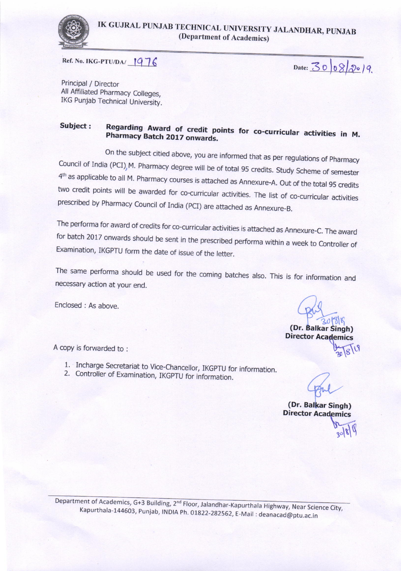

Ref. No. IKG-PTU/DA/ $1976$ 

 $Date: 3008/2019.$ 

Principal / Director AilAffiliated pharmacy Colleges, IKG Punjab Technical University.

#### Subiect : **Pharmacy** Regarding Award of credit points for co-curricular activities in M.<br>Pharmacy Batch 2017 onwards. Pharmacy Batch 2017 onwards.

On the subject citied above, you are informed that as per regulations of Pharmacy<br>Council of India (PCI), M. Pharmacy degree will be of total 95 credits. Study Scheme of semester  $4<sup>th</sup>$  as applicable to all M. Pharmacy courses is attached as Annexure-A. Out of the total 95 credits two credit points will be awarded for co-curricular activities. The list of co-curricular activities prescribed by

The performa for award of credits for co-curricular activities is attached as Annexure-C. The award<br>for batch 2017 onwards should be sent in the prescribed performa within a week to Controller of<br>Examination, IKGPTU form t

The same performa should be used for the coming batches also. This is for information and necessary action at your end.

Enclosed : As above.

(Dr. Balkar Singh) **Director Academics** 

A copy is forwarded to:

- 1. Incharge Secretariat to Vice-Chancellor, IKGPTU for information.<br>2. Controller of Examination, IKGPTU for information.
- 

(Dr, Balkar Singh) Director Academics

Department of Academics, G+3 Building, 2<sup>nd</sup> Floor, Jalandhar-Kapurthala Highway, Near Science City, Kapurthala-144603, Punjab, INDIA Ph. 01822-282562, E-Mail : deanacad@ptu.ac.in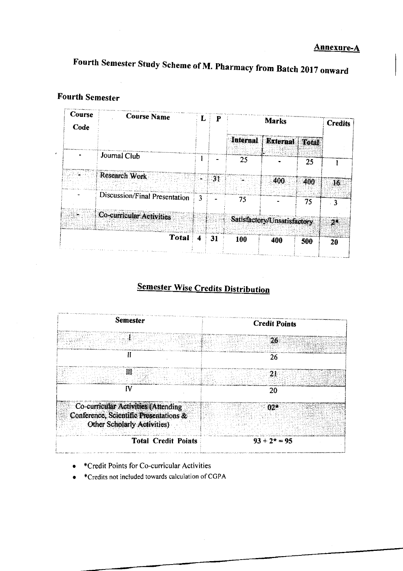# Fourth semester study Scheme of M. pharmacy from Batch 2017 onward

#### Fourth Semester

to the company of the company of the company of the company of the company of the company of the company of the company of the company of the company of the company of the company of the company of the company of the compa

| Course<br>Code | <b>Course Name</b>            | L. | P              | <b>Marks</b> |                             |     | <b>Credits</b> |
|----------------|-------------------------------|----|----------------|--------------|-----------------------------|-----|----------------|
|                |                               |    |                |              | Internal External Total     |     |                |
|                | Journal Club                  |    |                | 25           |                             | 25  |                |
|                | Research Work                 |    | 3 <sub>1</sub> |              | 400                         | 400 | 16             |
|                | Discussion/Final Presentation | 3  |                | 75           |                             | 75  | 3              |
|                | Co-curricular Activities      |    |                |              | Satisfactory/Unsatisfactory |     | $2^*$          |
|                | Total                         | 4  | 31             | 100          | d a straig scient<br>400    | 500 | 20             |

# **Semester Wise Credits Distribution**



- +Credit Points for Co-curricular Activities a
- \*Credits not included towards calculation ofCGPA a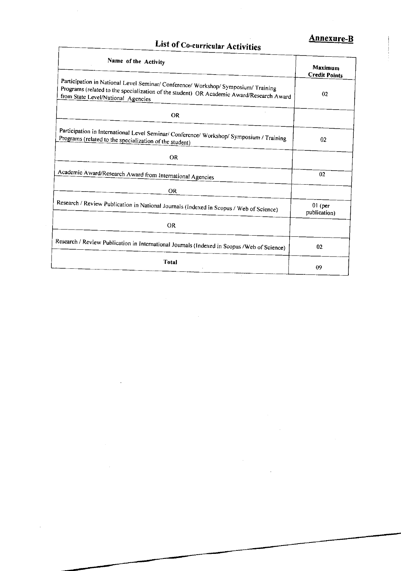# List of Co-curricular Activities

 $\sqrt{ }$ 

#### **Annexure-B**

| Name of the Activity                                                                                                                                                                                                 | Maximum<br><b>Credit Points</b> |  |
|----------------------------------------------------------------------------------------------------------------------------------------------------------------------------------------------------------------------|---------------------------------|--|
| Participation in National Level Seminar/ Conference/ Workshop/ Symposium/ Training<br>Programs (related to the specialization of the student) OR Academic Award/Research Award<br>from State Level/National Agencies | $02\,$                          |  |
| <b>OR</b>                                                                                                                                                                                                            |                                 |  |
| Participation in International Level Seminar/ Conference/ Workshop/ Symposium / Training<br>Programs (related to the specialization of the student)                                                                  | 02                              |  |
| OR.                                                                                                                                                                                                                  |                                 |  |
| Academic Award/Research Award from International Agencies                                                                                                                                                            | 02                              |  |
| <b>OR</b>                                                                                                                                                                                                            |                                 |  |
| Research / Review Publication in National Journals (Indexed in Scopus / Web of Science)                                                                                                                              | $01$ (per<br>publication)       |  |
| OR.                                                                                                                                                                                                                  |                                 |  |
| Research / Review Publication in International Journals (Indexed in Scopus / Web of Science)                                                                                                                         | 02                              |  |
| <b>Total</b>                                                                                                                                                                                                         | 09                              |  |